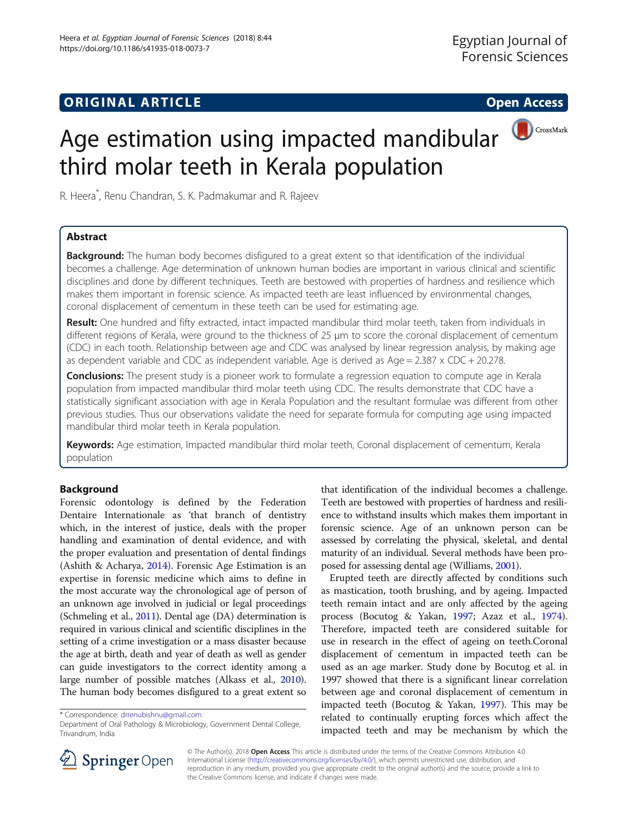# **ORIGINAL ARTICLE CONSERVANCE IN A LOCAL CONSERVANCE IN A LOCAL CONSERVANCE IN A LOCAL CONSERVANCE IN A LOCAL CONSERVANCE IN A LOCAL CONSERVANCE IN A LOCAL CONSERVANCE IN A LOCAL CONSERVANCE IN A LOCAL CONSERVANCE IN A L**



# Age estimation using impacted mandibular third molar teeth in Kerala population

R. Heera\* , Renu Chandran, S. K. Padmakumar and R. Rajeev

### Abstract

Background: The human body becomes disfigured to a great extent so that identification of the individual becomes a challenge. Age determination of unknown human bodies are important in various clinical and scientific disciplines and done by different techniques. Teeth are bestowed with properties of hardness and resilience which makes them important in forensic science. As impacted teeth are least influenced by environmental changes, coronal displacement of cementum in these teeth can be used for estimating age.

Result: One hundred and fifty extracted, intact impacted mandibular third molar teeth, taken from individuals in different regions of Kerala, were ground to the thickness of 25 μm to score the coronal displacement of cementum (CDC) in each tooth. Relationship between age and CDC was analysed by linear regression analysis, by making age as dependent variable and CDC as independent variable. Age is derived as  $Aqe = 2.387 \times CDC + 20.278$ .

**Conclusions:** The present study is a pioneer work to formulate a regression equation to compute age in Kerala population from impacted mandibular third molar teeth using CDC. The results demonstrate that CDC have a statistically significant association with age in Kerala Population and the resultant formulae was different from other previous studies. Thus our observations validate the need for separate formula for computing age using impacted mandibular third molar teeth in Kerala population.

Keywords: Age estimation, Impacted mandibular third molar teeth, Coronal displacement of cementum, Kerala population

### Background

Forensic odontology is defined by the Federation Dentaire Internationale as 'that branch of dentistry which, in the interest of justice, deals with the proper handling and examination of dental evidence, and with the proper evaluation and presentation of dental findings (Ashith & Acharya, [2014](#page-3-0)). Forensic Age Estimation is an expertise in forensic medicine which aims to define in the most accurate way the chronological age of person of an unknown age involved in judicial or legal proceedings (Schmeling et al., [2011](#page-3-0)). Dental age (DA) determination is required in various clinical and scientific disciplines in the setting of a crime investigation or a mass disaster because the age at birth, death and year of death as well as gender can guide investigators to the correct identity among a large number of possible matches (Alkass et al., [2010](#page-3-0)). The human body becomes disfigured to a great extent so

that identification of the individual becomes a challenge. Teeth are bestowed with properties of hardness and resilience to withstand insults which makes them important in forensic science. Age of an unknown person can be assessed by correlating the physical, skeletal, and dental maturity of an individual. Several methods have been proposed for assessing dental age (Williams, [2001](#page-3-0)).

Erupted teeth are directly affected by conditions such as mastication, tooth brushing, and by ageing. Impacted teeth remain intact and are only affected by the ageing process (Bocutog & Yakan, [1997;](#page-3-0) Azaz et al., [1974](#page-3-0)). Therefore, impacted teeth are considered suitable for use in research in the effect of ageing on teeth.Coronal displacement of cementum in impacted teeth can be used as an age marker. Study done by Bocutog et al. in 1997 showed that there is a significant linear correlation between age and coronal displacement of cementum in impacted teeth (Bocutog & Yakan, [1997](#page-3-0)). This may be related to continually erupting forces which affect the impacted teeth and may be mechanism by which the



© The Author(s). 2018 Open Access This article is distributed under the terms of the Creative Commons Attribution 4.0 International License ([http://creativecommons.org/licenses/by/4.0/\)](http://creativecommons.org/licenses/by/4.0/), which permits unrestricted use, distribution, and reproduction in any medium, provided you give appropriate credit to the original author(s) and the source, provide a link to the Creative Commons license, and indicate if changes were made.

<sup>\*</sup> Correspondence: [drrenubishnu@gmail.com](mailto:drrenubishnu@gmail.com)

Department of Oral Pathology & Microbiology, Government Dental College, Trivandrum, India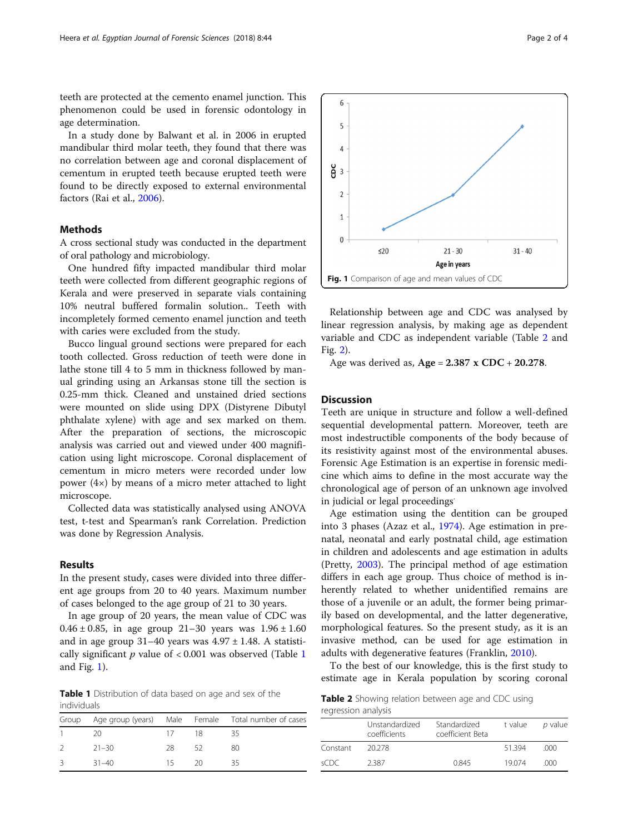teeth are protected at the cemento enamel junction. This phenomenon could be used in forensic odontology in age determination.

In a study done by Balwant et al. in 2006 in erupted mandibular third molar teeth, they found that there was no correlation between age and coronal displacement of cementum in erupted teeth because erupted teeth were found to be directly exposed to external environmental factors (Rai et al., [2006\)](#page-3-0).

### Methods

A cross sectional study was conducted in the department of oral pathology and microbiology.

One hundred fifty impacted mandibular third molar teeth were collected from different geographic regions of Kerala and were preserved in separate vials containing 10% neutral buffered formalin solution.. Teeth with incompletely formed cemento enamel junction and teeth with caries were excluded from the study.

Bucco lingual ground sections were prepared for each tooth collected. Gross reduction of teeth were done in lathe stone till 4 to 5 mm in thickness followed by manual grinding using an Arkansas stone till the section is 0.25-mm thick. Cleaned and unstained dried sections were mounted on slide using DPX (Distyrene Dibutyl phthalate xylene) with age and sex marked on them. After the preparation of sections, the microscopic analysis was carried out and viewed under 400 magnification using light microscope. Coronal displacement of cementum in micro meters were recorded under low power (4×) by means of a micro meter attached to light microscope.

Collected data was statistically analysed using ANOVA test, t-test and Spearman's rank Correlation. Prediction was done by Regression Analysis.

### Results

In the present study, cases were divided into three different age groups from 20 to 40 years. Maximum number of cases belonged to the age group of 21 to 30 years.

In age group of 20 years, the mean value of CDC was 0.46  $\pm$  0.85, in age group 21-30 years was 1.96  $\pm$  1.60 and in age group  $31-40$  years was  $4.97 \pm 1.48$ . A statistically significant  $p$  value of < 0.001 was observed (Table 1 and Fig. 1).

Table 1 Distribution of data based on age and sex of the individuals

|               |           |       |    | Group Age group (years) Male Female Total number of cases |
|---------------|-----------|-------|----|-----------------------------------------------------------|
|               | - 20      | 1/18  |    | - 35                                                      |
| $\mathcal{P}$ | $21 - 30$ | -28.  | 52 | -80                                                       |
| $\mathcal{B}$ | $31 - 40$ | 15 20 |    | - 35                                                      |

6  $\overline{5}$  $\Lambda$  $\frac{8}{6}$  3  $\overline{\mathcal{L}}$  $\mathbf{1}$  $\Omega$  $<sub>20</sub>$ </sub>  $21 - 30$  $31 - 40$ Age in years Fig. 1 Comparison of age and mean values of CDC

Relationship between age and CDC was analysed by linear regression analysis, by making age as dependent variable and CDC as independent variable (Table 2 and Fig. [2](#page-2-0)).

Age was derived as,  $Age = 2.387 \times CDC + 20.278$ .

### **Discussion**

Teeth are unique in structure and follow a well-defined sequential developmental pattern. Moreover, teeth are most indestructible components of the body because of its resistivity against most of the environmental abuses. Forensic Age Estimation is an expertise in forensic medicine which aims to define in the most accurate way the chronological age of person of an unknown age involved in judicial or legal proceedings.

Age estimation using the dentition can be grouped into 3 phases (Azaz et al., [1974\)](#page-3-0). Age estimation in prenatal, neonatal and early postnatal child, age estimation in children and adolescents and age estimation in adults (Pretty, [2003\)](#page-3-0). The principal method of age estimation differs in each age group. Thus choice of method is inherently related to whether unidentified remains are those of a juvenile or an adult, the former being primarily based on developmental, and the latter degenerative, morphological features. So the present study, as it is an invasive method, can be used for age estimation in adults with degenerative features (Franklin, [2010](#page-3-0)).

To the best of our knowledge, this is the first study to estimate age in Kerala population by scoring coronal

Table 2 Showing relation between age and CDC using regression analysis

|          | Unstandardized<br>coefficients | Standardized<br>coefficient Beta | t value | <i>p</i> value |
|----------|--------------------------------|----------------------------------|---------|----------------|
| Constant | 20.278                         |                                  | 51.394  | .000           |
| sCDC.    | 2387                           | 0.845                            | 19074   | റററ            |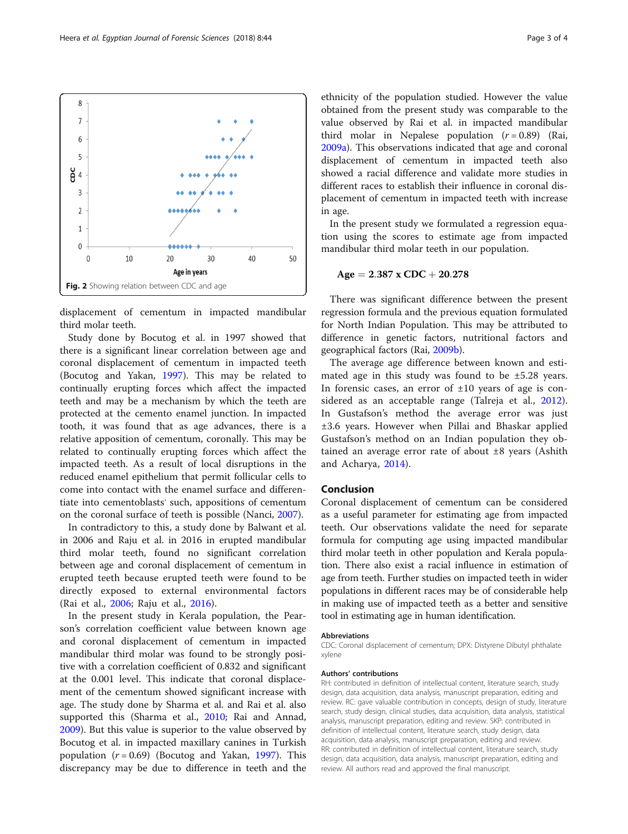displacement of cementum in impacted mandibular third molar teeth.

Study done by Bocutog et al. in 1997 showed that there is a significant linear correlation between age and coronal displacement of cementum in impacted teeth (Bocutog and Yakan, [1997](#page-3-0)). This may be related to continually erupting forces which affect the impacted teeth and may be a mechanism by which the teeth are protected at the cemento enamel junction. In impacted tooth, it was found that as age advances, there is a relative apposition of cementum, coronally. This may be related to continually erupting forces which affect the impacted teeth. As a result of local disruptions in the reduced enamel epithelium that permit follicular cells to come into contact with the enamel surface and differentiate into cementoblasts' such, appositions of cementum on the coronal surface of teeth is possible (Nanci, [2007\)](#page-3-0).

In contradictory to this, a study done by Balwant et al. in 2006 and Raju et al. in 2016 in erupted mandibular third molar teeth, found no significant correlation between age and coronal displacement of cementum in erupted teeth because erupted teeth were found to be directly exposed to external environmental factors (Rai et al., [2006](#page-3-0); Raju et al., [2016](#page-3-0)).

In the present study in Kerala population, the Pearson's correlation coefficient value between known age and coronal displacement of cementum in impacted mandibular third molar was found to be strongly positive with a correlation coefficient of 0.832 and significant at the 0.001 level. This indicate that coronal displacement of the cementum showed significant increase with age. The study done by Sharma et al. and Rai et al. also supported this (Sharma et al., [2010;](#page-3-0) Rai and Annad, [2009](#page-3-0)). But this value is superior to the value observed by Bocutog et al. in impacted maxillary canines in Turkish population  $(r = 0.69)$  (Bocutog and Yakan, [1997\)](#page-3-0). This discrepancy may be due to difference in teeth and the

ethnicity of the population studied. However the value obtained from the present study was comparable to the value observed by Rai et al. in impacted mandibular third molar in Nepalese population  $(r = 0.89)$  (Rai, [2009a\)](#page-3-0). This observations indicated that age and coronal displacement of cementum in impacted teeth also showed a racial difference and validate more studies in different races to establish their influence in coronal displacement of cementum in impacted teeth with increase in age.

In the present study we formulated a regression equation using the scores to estimate age from impacted mandibular third molar teeth in our population.

$$
Age = 2.387 \times CDC + 20.278
$$

There was significant difference between the present regression formula and the previous equation formulated for North Indian Population. This may be attributed to difference in genetic factors, nutritional factors and geographical factors (Rai, [2009b\)](#page-3-0).

The average age difference between known and estimated age in this study was found to be ±5.28 years. In forensic cases, an error of  $\pm 10$  years of age is con-sidered as an acceptable range (Talreja et al., [2012](#page-3-0)). In Gustafson's method the average error was just ±3.6 years. However when Pillai and Bhaskar applied Gustafson's method on an Indian population they obtained an average error rate of about  $\pm 8$  years (Ashith and Acharya, [2014](#page-3-0)).

### Conclusion

Coronal displacement of cementum can be considered as a useful parameter for estimating age from impacted teeth. Our observations validate the need for separate formula for computing age using impacted mandibular third molar teeth in other population and Kerala population. There also exist a racial influence in estimation of age from teeth. Further studies on impacted teeth in wider populations in different races may be of considerable help in making use of impacted teeth as a better and sensitive tool in estimating age in human identification.

#### Abbreviations

CDC: Coronal displacement of cementum; DPX: Distyrene Dibutyl phthalate xylene

#### Authors' contributions

RH: contributed in definition of intellectual content, literature search, study design, data acquisition, data analysis, manuscript preparation, editing and review. RC: gave valuable contribution in concepts, design of study, literature search, study design, clinical studies, data acquisition, data analysis, statistical analysis, manuscript preparation, editing and review. SKP: contributed in definition of intellectual content, literature search, study design, data acquisition, data analysis, manuscript preparation, editing and review. RR: contributed in definition of intellectual content, literature search, study design, data acquisition, data analysis, manuscript preparation, editing and review. All authors read and approved the final manuscript.

<span id="page-2-0"></span>